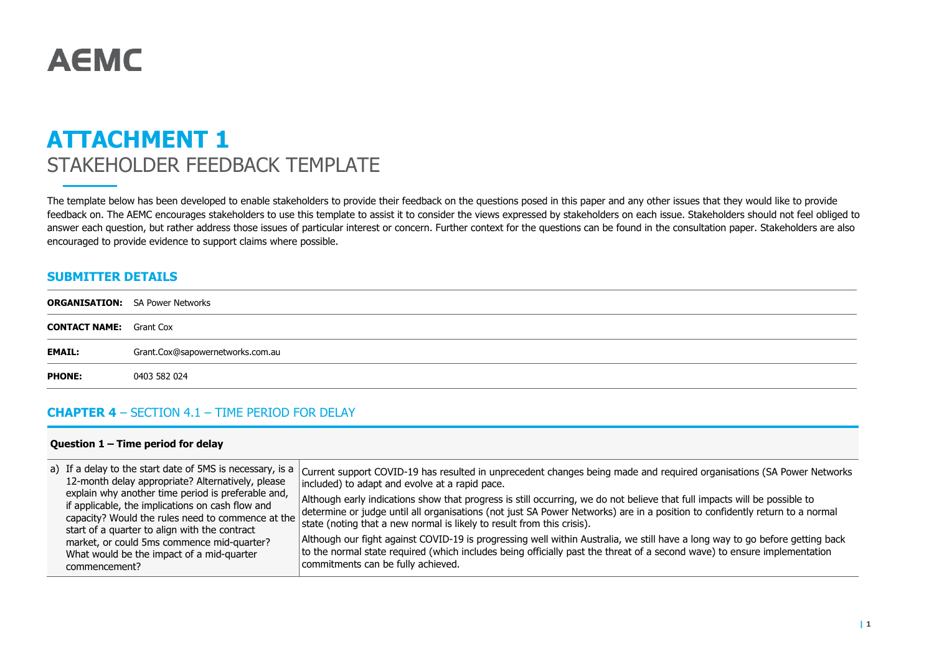# **AEMC**

## **ATTACHMENT 1** STAKEHOLDER FEEDBACK TEMPLATE

The template below has been developed to enable stakeholders to provide their feedback on the questions posed in this paper and any other issues that they would like to provide feedback on. The AEMC encourages stakeholders to use this template to assist it to consider the views expressed by stakeholders on each issue. Stakeholders should not feel obliged to answer each question, but rather address those issues of particular interest or concern. Further context for the questions can be found in the consultation paper. Stakeholders are also encouraged to provide evidence to support claims where possible.

#### **SUBMITTER DETAILS**

|                                | <b>ORGANISATION:</b> SA Power Networks |
|--------------------------------|----------------------------------------|
| <b>CONTACT NAME:</b> Grant Cox |                                        |
| <b>EMAIL:</b>                  | Grant.Cox@sapowernetworks.com.au       |
| <b>PHONE:</b>                  | 0403 582 024                           |
|                                |                                        |

#### **CHAPTER 4** – SECTION 4.1 – TIME PERIOD FOR DELAY

#### **Question 1 – Time period for delay**

| a) If a delay to the start date of 5MS is necessary, is a<br>12-month delay appropriate? Alternatively, please<br>explain why another time period is preferable and,<br>if applicable, the implications on cash flow and<br>capacity? Would the rules need to commence at the<br>start of a quarter to align with the contract<br>market, or could 5ms commence mid-quarter?<br>What would be the impact of a mid-quarter<br>commencement? | Current support COVID-19 has resulted in unprecedent changes being made and required organisations (SA Power Networks<br>included) to adapt and evolve at a rapid pace.<br>Although early indications show that progress is still occurring, we do not believe that full impacts will be possible to<br>determine or judge until all organisations (not just SA Power Networks) are in a position to confidently return to a normal<br>state (noting that a new normal is likely to result from this crisis).<br>Although our fight against COVID-19 is progressing well within Australia, we still have a long way to go before getting back<br>to the normal state required (which includes being officially past the threat of a second wave) to ensure implementation<br>commitments can be fully achieved. |
|--------------------------------------------------------------------------------------------------------------------------------------------------------------------------------------------------------------------------------------------------------------------------------------------------------------------------------------------------------------------------------------------------------------------------------------------|-----------------------------------------------------------------------------------------------------------------------------------------------------------------------------------------------------------------------------------------------------------------------------------------------------------------------------------------------------------------------------------------------------------------------------------------------------------------------------------------------------------------------------------------------------------------------------------------------------------------------------------------------------------------------------------------------------------------------------------------------------------------------------------------------------------------|
|--------------------------------------------------------------------------------------------------------------------------------------------------------------------------------------------------------------------------------------------------------------------------------------------------------------------------------------------------------------------------------------------------------------------------------------------|-----------------------------------------------------------------------------------------------------------------------------------------------------------------------------------------------------------------------------------------------------------------------------------------------------------------------------------------------------------------------------------------------------------------------------------------------------------------------------------------------------------------------------------------------------------------------------------------------------------------------------------------------------------------------------------------------------------------------------------------------------------------------------------------------------------------|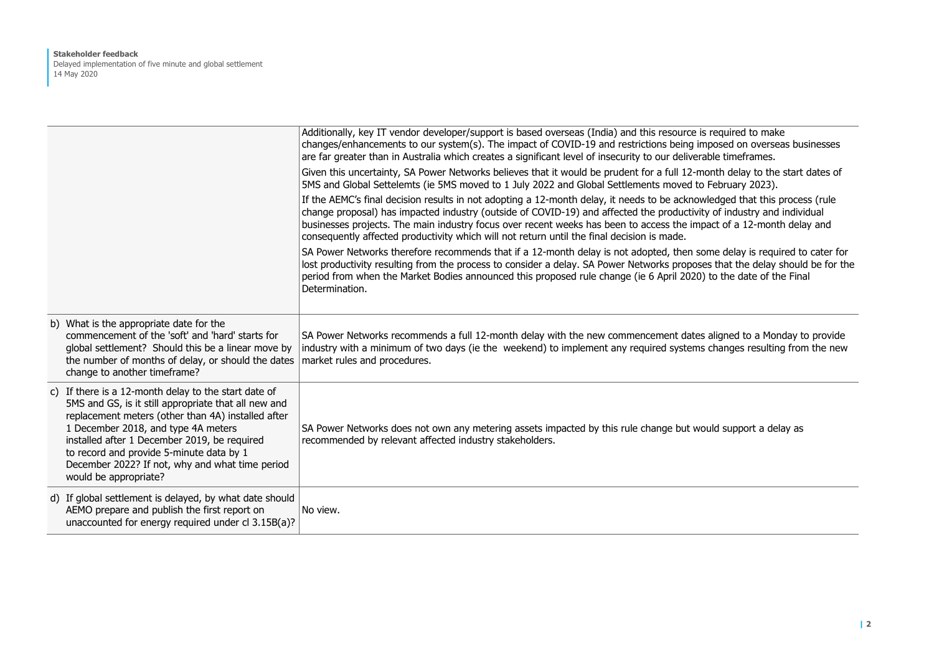#### **Stakeholder feedback** Delayed implementation of five minute and global settlement 14 May 2020

|                                                                                                                                                                                                                                                                                                                                                                                   | Additionally, key IT vendor developer/support is based overseas (India) and this resource is required to make<br>changes/enhancements to our system(s). The impact of COVID-19 and restrictions being imposed on overseas businesses<br>are far greater than in Australia which creates a significant level of insecurity to our deliverable timeframes.                                                                                                                  |
|-----------------------------------------------------------------------------------------------------------------------------------------------------------------------------------------------------------------------------------------------------------------------------------------------------------------------------------------------------------------------------------|---------------------------------------------------------------------------------------------------------------------------------------------------------------------------------------------------------------------------------------------------------------------------------------------------------------------------------------------------------------------------------------------------------------------------------------------------------------------------|
|                                                                                                                                                                                                                                                                                                                                                                                   | Given this uncertainty, SA Power Networks believes that it would be prudent for a full 12-month delay to the start dates of<br>5MS and Global Settelemts (ie 5MS moved to 1 July 2022 and Global Settlements moved to February 2023).                                                                                                                                                                                                                                     |
|                                                                                                                                                                                                                                                                                                                                                                                   | If the AEMC's final decision results in not adopting a 12-month delay, it needs to be acknowledged that this process (rule<br>change proposal) has impacted industry (outside of COVID-19) and affected the productivity of industry and individual<br>businesses projects. The main industry focus over recent weeks has been to access the impact of a 12-month delay and<br>consequently affected productivity which will not return until the final decision is made. |
|                                                                                                                                                                                                                                                                                                                                                                                   | SA Power Networks therefore recommends that if a 12-month delay is not adopted, then some delay is required to cater for<br>lost productivity resulting from the process to consider a delay. SA Power Networks proposes that the delay should be for the<br>period from when the Market Bodies announced this proposed rule change (ie 6 April 2020) to the date of the Final<br>Determination.                                                                          |
| b) What is the appropriate date for the<br>commencement of the 'soft' and 'hard' starts for<br>global settlement? Should this be a linear move by<br>the number of months of delay, or should the dates<br>change to another timeframe?                                                                                                                                           | SA Power Networks recommends a full 12-month delay with the new commencement dates aligned to a Monday to provide<br>industry with a minimum of two days (ie the weekend) to implement any required systems changes resulting from the new<br>market rules and procedures.                                                                                                                                                                                                |
| c) If there is a 12-month delay to the start date of<br>5MS and GS, is it still appropriate that all new and<br>replacement meters (other than 4A) installed after<br>1 December 2018, and type 4A meters<br>installed after 1 December 2019, be required<br>to record and provide 5-minute data by 1<br>December 2022? If not, why and what time period<br>would be appropriate? | SA Power Networks does not own any metering assets impacted by this rule change but would support a delay as<br>recommended by relevant affected industry stakeholders.                                                                                                                                                                                                                                                                                                   |
| d) If global settlement is delayed, by what date should<br>AEMO prepare and publish the first report on<br>unaccounted for energy required under cl 3.15B(a)?                                                                                                                                                                                                                     | No view.                                                                                                                                                                                                                                                                                                                                                                                                                                                                  |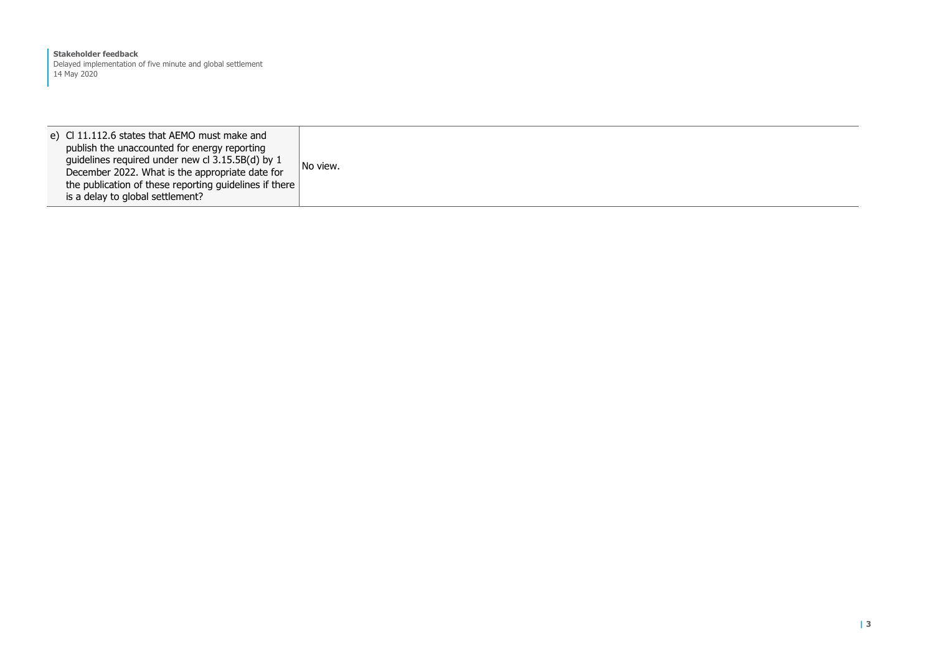**Stakeholder feedback** Delayed implementation of five minute and global settlement 14 May 2020

e) Cl 11.112.6 states that AEMO must make and publish the unaccounted for energy reporting guidelines required under new cl 3.15.5B(d) by 1 December 2022. What is the appropriate date for the publication of these reporting guidelines if there is a delay to global settlement? No view.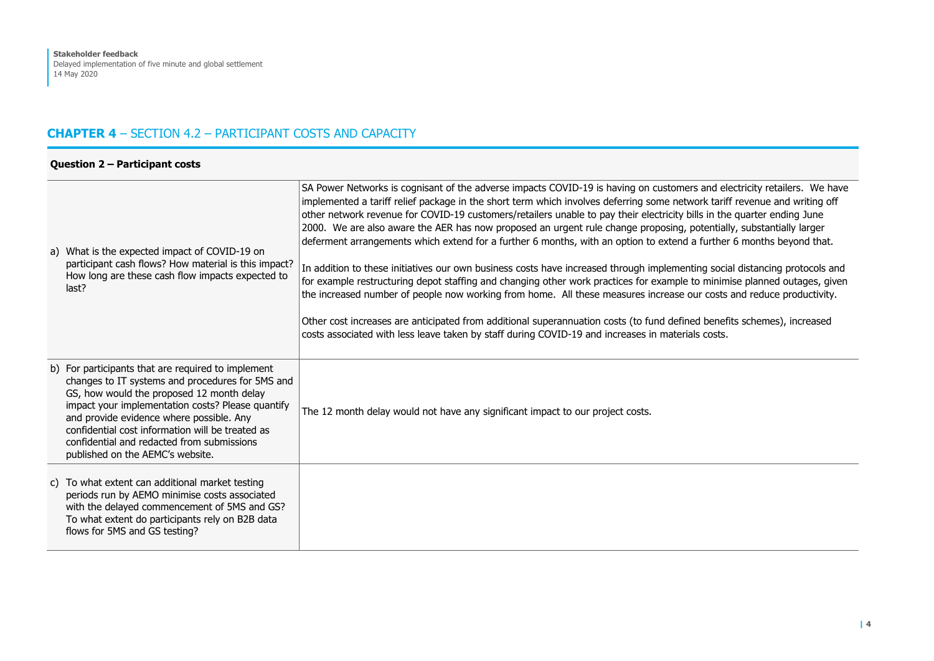#### **CHAPTER 4** – SECTION 4.2 – PARTICIPANT COSTS AND CAPACITY

#### **Question 2 – Participant costs**

| a) What is the expected impact of COVID-19 on<br>participant cash flows? How material is this impact?<br>How long are these cash flow impacts expected to<br>last?                                                                                                                                                                                                                         | SA Power Networks is cognisant of the adverse impacts COVID-19 is having on customers and electricity retailers. We have<br>implemented a tariff relief package in the short term which involves deferring some network tariff revenue and writing off<br>other network revenue for COVID-19 customers/retailers unable to pay their electricity bills in the quarter ending June<br>2000. We are also aware the AER has now proposed an urgent rule change proposing, potentially, substantially larger<br>deferment arrangements which extend for a further 6 months, with an option to extend a further 6 months beyond that.<br>In addition to these initiatives our own business costs have increased through implementing social distancing protocols and<br>for example restructuring depot staffing and changing other work practices for example to minimise planned outages, given<br>the increased number of people now working from home. All these measures increase our costs and reduce productivity.<br>Other cost increases are anticipated from additional superannuation costs (to fund defined benefits schemes), increased<br>costs associated with less leave taken by staff during COVID-19 and increases in materials costs. |
|--------------------------------------------------------------------------------------------------------------------------------------------------------------------------------------------------------------------------------------------------------------------------------------------------------------------------------------------------------------------------------------------|------------------------------------------------------------------------------------------------------------------------------------------------------------------------------------------------------------------------------------------------------------------------------------------------------------------------------------------------------------------------------------------------------------------------------------------------------------------------------------------------------------------------------------------------------------------------------------------------------------------------------------------------------------------------------------------------------------------------------------------------------------------------------------------------------------------------------------------------------------------------------------------------------------------------------------------------------------------------------------------------------------------------------------------------------------------------------------------------------------------------------------------------------------------------------------------------------------------------------------------------------|
| b) For participants that are required to implement<br>changes to IT systems and procedures for 5MS and<br>GS, how would the proposed 12 month delay<br>impact your implementation costs? Please quantify<br>and provide evidence where possible. Any<br>confidential cost information will be treated as<br>confidential and redacted from submissions<br>published on the AEMC's website. | The 12 month delay would not have any significant impact to our project costs.                                                                                                                                                                                                                                                                                                                                                                                                                                                                                                                                                                                                                                                                                                                                                                                                                                                                                                                                                                                                                                                                                                                                                                       |
| c) To what extent can additional market testing<br>periods run by AEMO minimise costs associated<br>with the delayed commencement of 5MS and GS?<br>To what extent do participants rely on B2B data<br>flows for 5MS and GS testing?                                                                                                                                                       |                                                                                                                                                                                                                                                                                                                                                                                                                                                                                                                                                                                                                                                                                                                                                                                                                                                                                                                                                                                                                                                                                                                                                                                                                                                      |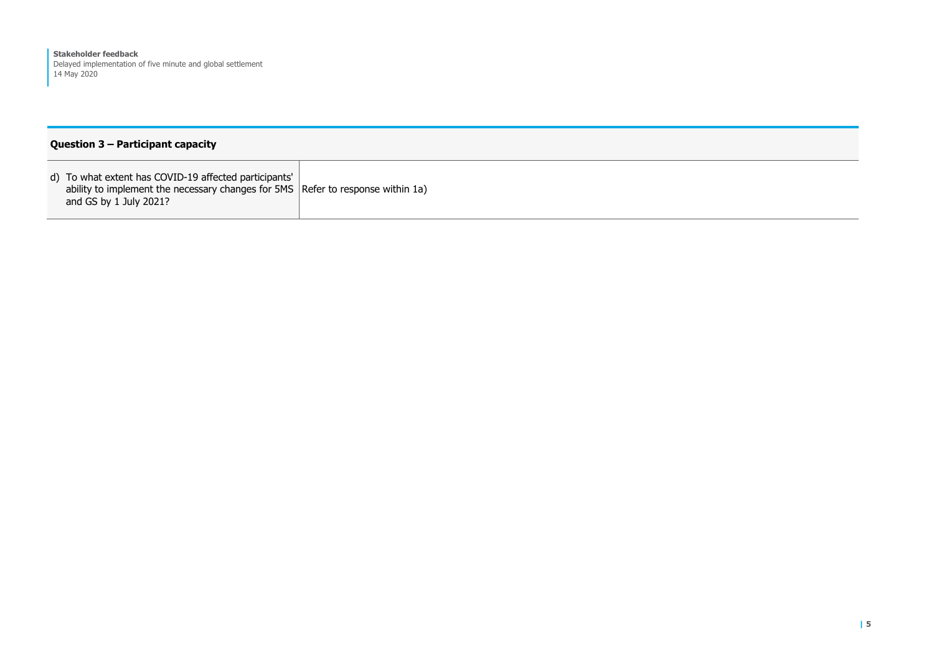#### **Question 3 – Participant capacity**

d) To what extent has COVID-19 affected participants' ability to implement the necessary changes for 5MS Refer to response within 1a)and  $GS$  by 1 July 2021?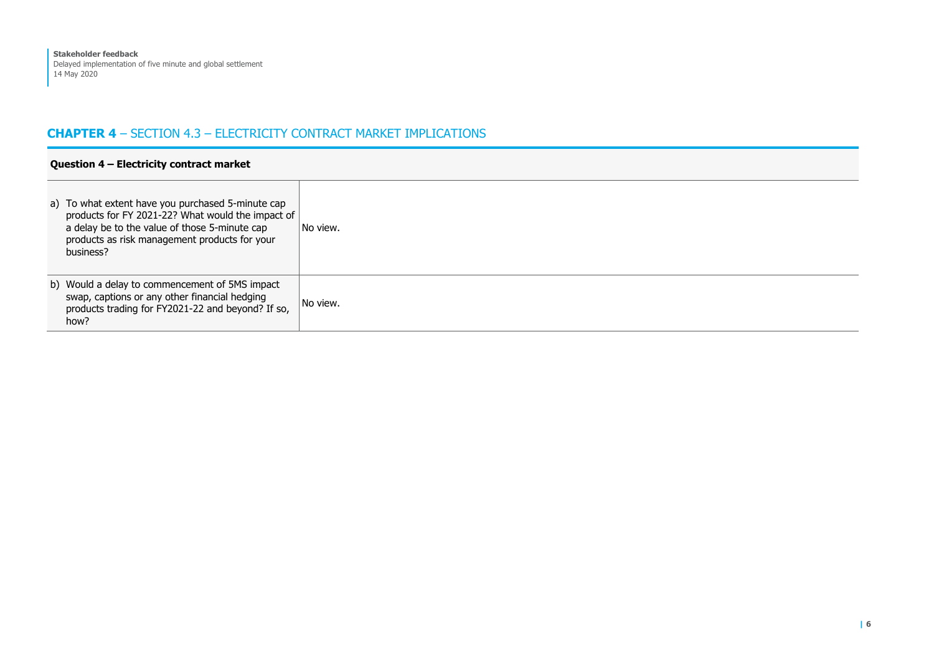#### **CHAPTER 4** – SECTION 4.3 – ELECTRICITY CONTRACT MARKET IMPLICATIONS

| Question $4$ – Electricity contract market |                                                                                                                                                                                                                       |          |
|--------------------------------------------|-----------------------------------------------------------------------------------------------------------------------------------------------------------------------------------------------------------------------|----------|
|                                            | a) To what extent have you purchased 5-minute cap<br>products for FY 2021-22? What would the impact of<br>a delay be to the value of those 5-minute cap<br>products as risk management products for your<br>business? | No view. |
|                                            | b) Would a delay to commencement of 5MS impact<br>swap, captions or any other financial hedging<br>products trading for FY2021-22 and beyond? If so,<br>how?                                                          | No view. |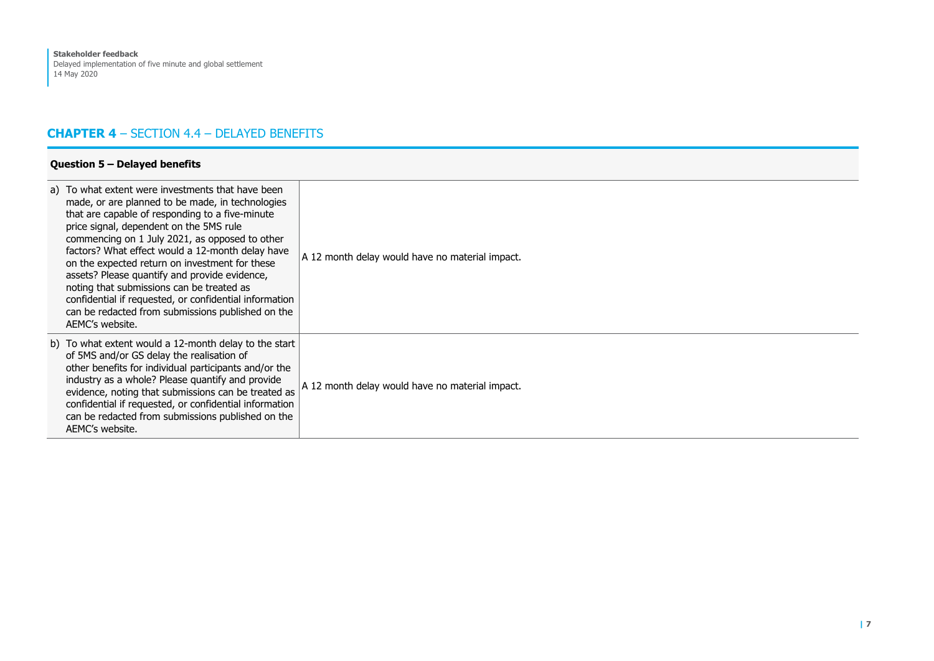#### **CHAPTER 4** – SECTION 4.4 – DELAYED BENEFITS

| a) To what extent were investments that have been<br>made, or are planned to be made, in technologies<br>that are capable of responding to a five-minute<br>price signal, dependent on the 5MS rule<br>commencing on 1 July 2021, as opposed to other<br>factors? What effect would a 12-month delay have<br>on the expected return on investment for these<br>assets? Please quantify and provide evidence,<br>noting that submissions can be treated as<br>confidential if requested, or confidential information<br>can be redacted from submissions published on the<br>AEMC's website. | A 12 month delay would have no material impact. |
|---------------------------------------------------------------------------------------------------------------------------------------------------------------------------------------------------------------------------------------------------------------------------------------------------------------------------------------------------------------------------------------------------------------------------------------------------------------------------------------------------------------------------------------------------------------------------------------------|-------------------------------------------------|
| b) To what extent would a 12-month delay to the start<br>of 5MS and/or GS delay the realisation of<br>other benefits for individual participants and/or the<br>industry as a whole? Please quantify and provide<br>evidence, noting that submissions can be treated as<br>confidential if requested, or confidential information<br>can be redacted from submissions published on the<br>AEMC's website.                                                                                                                                                                                    | A 12 month delay would have no material impact. |